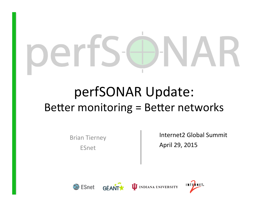# $\qquad \qquad =$

#### perfSONAR Update: Better monitoring = Better networks

**Brian Tierney** ESnet 

Internet2 Global Summit April 29, 2015







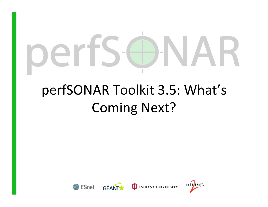# $\overline{\phantom{a}}$  $\vdash$

## perfSONAR Toolkit 3.5: What's **Coming Next?**





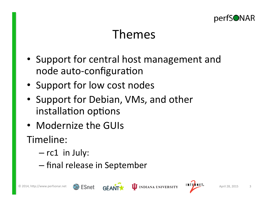

#### Themes

- Support for central host management and node auto-configuration
- Support for low cost nodes
- Support for Debian, VMs, and other installation options
- Modernize the GUIs
- Timeline:
	- $-$  rc1 in July:
	- final release in September





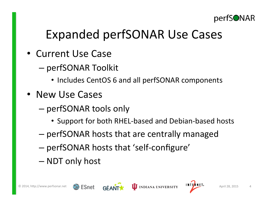

#### Expanded perfSONAR Use Cases

- Current Use Case
	- perfSONAR Toolkit
		- Includes CentOS 6 and all perfSONAR components
- New Use Cases
	- perfSONAR tools only
		- Support for both RHEL-based and Debian-based hosts
	- perfSONAR hosts that are centrally managed
	- perfSONAR hosts that 'self-configure'
	- NDT only host



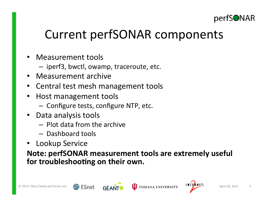

#### Current perfSONAR components

- Measurement tools
	- $-$  iperf3, bwctl, owamp, traceroute, etc.
- Measurement archive
- Central test mesh management tools
- Host management tools
	- Configure tests, configure NTP, etc.
- Data analysis tools
	- $-$  Plot data from the archive
	- $-$  Dashboard tools
- Lookup Service

#### **Note: perfSONAR measurement tools are extremely useful** for troubleshooting on their own.



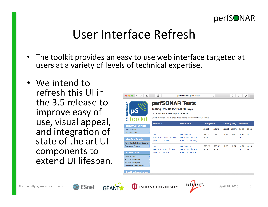

#### User Interface Refresh

- The toolkit provides an easy to use web interface targeted at users at a variety of levels of technical expertise.
- We intend to refresh this UI in the 3.5 release to improve easy of use, visual appeal, and integration of state of the art UI components to extend UI lifespan.

| <b>PS</b>                                                                                                                                             | perfSONAR Tests<br><b>Testing Results for Past 30 Days</b><br>Click a hostname to see a graph of the results<br>Grey text indicates inactive test (tests that have not run in the last 7 days) |                                                    |                   |                |                     |         |           |           |
|-------------------------------------------------------------------------------------------------------------------------------------------------------|------------------------------------------------------------------------------------------------------------------------------------------------------------------------------------------------|----------------------------------------------------|-------------------|----------------|---------------------|---------|-----------|-----------|
| perfSONAR Services                                                                                                                                    | Source A                                                                                                                                                                                       | <b>Destination</b>                                 | <b>Throughput</b> |                | <b>Latency (ms)</b> |         | Loss (%)  |           |
| <b>Local Services</b>                                                                                                                                 |                                                                                                                                                                                                |                                                    | src-dst           | dst-src        | src-dst             | dst-src | src-dst   | dst-src   |
| <b>Global Services</b><br>图<br><b>View Test Results</b><br>Throughput / Latency Graphs                                                                | $DS -$<br>test.bldc.grnoc.iu.edu<br>(140.182.45.175)                                                                                                                                           | perfsonar-<br>dev.grnoc.iu.edu<br>(140.182.44.162) | 830.51<br>Mbps    | n/a            | 1.63                | n/a     | 0.56<br>m | n/a       |
| <b>Traceroute Graphs</b><br>图                                                                                                                         | $DS -$<br>test.ctc.grnoc.iu.edu<br>(140.182.44.92)                                                                                                                                             | perfsonar-<br>dev.grnoc.iu.edu<br>(140.182.44.162) | 895.19<br>Mbps    | 930.05<br>Mbps | 1.13                | 0.51    | 0.61<br>m | 0.20<br>m |
| <b>External Tools</b><br><b>Reverse Ping</b><br>卤<br>图<br>Reverse Traceroute<br>兩<br><b>Reverse Tracepath</b><br><b>Traceroute Visualization</b><br>兩 |                                                                                                                                                                                                |                                                    |                   |                |                     |         |           |           |





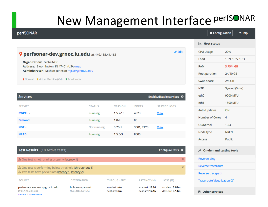### New Management Interface PerfSONAR

| perfSONAR                                                                                    |                                      |                                       |                                    |                                     | Configuration              | ? Help             |  |  |
|----------------------------------------------------------------------------------------------|--------------------------------------|---------------------------------------|------------------------------------|-------------------------------------|----------------------------|--------------------|--|--|
|                                                                                              |                                      |                                       |                                    |                                     | <b>Intill Host status</b>  |                    |  |  |
| $\triangle$ Edit<br>P perfsonar-dev.grnoc.iu.edu at 140.188.44.162                           |                                      |                                       |                                    |                                     |                            | 20%                |  |  |
| Organization: GlobalNOC                                                                      |                                      |                                       |                                    |                                     | Load                       | 1.59, 1.65, 1.63   |  |  |
| Address: Bloomington, IN 47401 (USA) map<br>Administrator: Michael Johnson mi82@grnoc.iu.edu |                                      |                                       |                                    |                                     | <b>RAM</b>                 | 3.75/4 GB          |  |  |
|                                                                                              |                                      |                                       |                                    |                                     | Root partition             | 24/40 GB           |  |  |
| <b>Q</b> Normal Q Virtual Machine (VM) Q Small Node                                          |                                      |                                       |                                    |                                     | Swap space                 | $2/5$ GB           |  |  |
|                                                                                              |                                      |                                       |                                    |                                     | <b>NTP</b>                 | Synced (5 ms)      |  |  |
| Services                                                                                     |                                      |                                       |                                    | Enable/disable services $\clubsuit$ | eth <sub>0</sub>           | 9000 MTU           |  |  |
| <b>SERVICE</b>                                                                               | <b>STATUS</b>                        | <b>VERSION</b>                        | <b>PORTS</b>                       | <b>SERVICE LOGS</b>                 | eth1                       | <b>1500 MTU</b>    |  |  |
| <b>BWCTL -</b>                                                                               | Running                              | $1.5.2 - 10$                          | 4823                               | <b>View</b>                         | <b>Auto Updates</b>        | ON                 |  |  |
| <b>Esmond</b>                                                                                | Running                              | $1.0 - 9$                             | 80                                 |                                     | Number of Cores            | $\overline{4}$     |  |  |
| $NDT -$                                                                                      | Not running                          | $3.70 - 1$                            | 3001; 7123                         | <b>View</b>                         | OS/Kernel                  | 1.23               |  |  |
| <b>NPAD</b>                                                                                  | Running                              | $1.5.6 - 3$                           | 8000                               |                                     | Node type                  | <b>NREN</b>        |  |  |
|                                                                                              |                                      |                                       |                                    |                                     | Access                     | Public             |  |  |
| Test Results (18 Active tests)                                                               |                                      |                                       |                                    | Configure tests $\clubsuit$         | √ On-demand testing tools  |                    |  |  |
| <b>A</b> One test is not running properly (latency 1)                                        |                                      |                                       |                                    | $\boldsymbol{\times}$               | <b>Reverse ping</b>        |                    |  |  |
| $\boldsymbol{\times}$<br>A One test is performing below threshold (throughput 1)             |                                      |                                       |                                    |                                     |                            | Reverse traceroute |  |  |
| A Two tests have packet loss (latency 1, latency 2)                                          |                                      |                                       |                                    |                                     | Reverse tracepath          |                    |  |  |
| <b>SOURCE</b>                                                                                | <b>DESTINATION</b>                   | <b>THROUGHPUT</b>                     | LATENCY (M)                        | LOSS (%)                            | Traceroute Visualization C |                    |  |  |
| perfsonar-dev-owamp.groc.iu.edu<br>(198.124.238.49)<br>Dataile   Tracarouto                  | bnl-owamp.es.net<br>(140.182.44.125) | src-dest: n/a<br>dest-src: <b>n/a</b> | src-dest: 18.74<br>dest-src: 17.16 | src-dest: 0.03m<br>dest-src: 3.14m  | <b>N</b> Other services    |                    |  |  |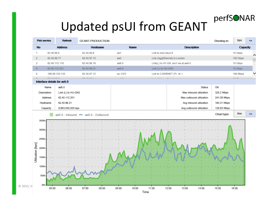

#### Updated psUI from GEANT

| Pick service                            |                                        |                                    |          |                                    |             |          |
|-----------------------------------------|----------------------------------------|------------------------------------|----------|------------------------------------|-------------|----------|
|                                         | Refresh                                | <b>GEANT-PRODUCTION</b>            |          |                                    | Showing in: | bps      |
| No                                      | <b>Address</b>                         | Hostname                           | Name     | <b>Description</b>                 |             | Capacity |
| $\mathbf{1}$                            | 62.40.98.5                             | 62.40.96.6                         | ae1      | Link to mx2.kau2.lt                |             | 10 Gbps  |
| $\overline{2}$                          | 62.40.98.77                            | 62.40.97.13                        | ae0      | Link (AggEthernet) to London       |             | 100 Gbps |
| 3                                       | 62.40.112.118                          | 62.40.96.19                        | ae6.0    | Link(L) to AT-GN, mx1.vie.at ae6.0 |             | 10 Gbps  |
| $\overline{4}$                          | 62.40.112.201                          | 62.40.96.21                        | ae5.0    | Link (L) to HU-GN2                 |             | 10 Gbps  |
| 5                                       | 199.58.120.133                         | 62.40.97.13                        | so-1/2/0 | Link to CARIBNET (Pr: Id: )        |             | 156 Mbps |
|                                         | 0010000<br>Interface details for ae5.0 | 88.18.88.1                         |          | <b>A</b>                           |             | 10.01    |
| Name                                    | ae5.0                                  |                                    |          | Status                             | ОК          |          |
| Description                             | Link (L) to HU-GN2                     |                                    |          | Max inbound utilization            | 325.2 Mbps  |          |
| Address                                 | 62.40.112.201                          |                                    |          | Max outbound utilization           | 241.05 Mbps |          |
| Hostname                                | 62.40.96.21                            |                                    |          | Avg inbound utilization            | 160.31 Mbps |          |
| Capacity                                | 9,953,000,000 bps                      |                                    |          | Avg outbound utilization           | 126.83 Mbps |          |
|                                         |                                        | ae5.0 - Inbound - ae5.0 - Outbound |          |                                    | Chart type: | line     |
| 350M-                                   |                                        |                                    |          |                                    |             |          |
| 300M<br>250M                            |                                        |                                    |          |                                    |             |          |
| Utilization [bps]<br>200M<br>150M       |                                        |                                    |          |                                    |             |          |
| 100M-<br>50M<br><b>OM</b><br>© 2015, ht |                                        |                                    |          |                                    |             |          |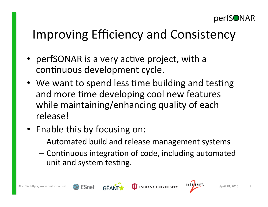

#### Improving Efficiency and Consistency

- perfSONAR is a very active project, with a continuous development cycle.
- We want to spend less time building and testing and more time developing cool new features while maintaining/enhancing quality of each release!
- Enable this by focusing on:
	- $-$  Automated build and release management systems
	- $-$  Continuous integration of code, including automated unit and system testing.



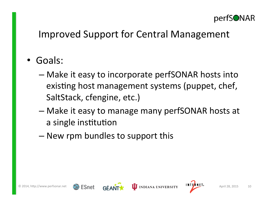

#### Improved Support for Central Management

- Goals:
	- $-$  Make it easy to incorporate perfSONAR hosts into existing host management systems (puppet, chef, SaltStack, cfengine, etc.)
	- $-$  Make it easy to manage many perfSONAR hosts at a single institution
	- $-$  New rpm bundles to support this





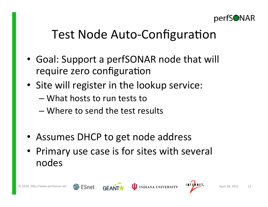

#### Test Node Auto-Configuration

- Goal: Support a perfSONAR node that will require zero configuration
- Site will register in the lookup service:
	- $-$  What hosts to run tests to
	- Where to send the test results
- Assumes DHCP to get node address
- Primary use case is for sites with several nodes





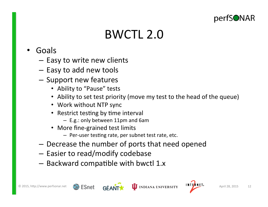

#### BWCTL 2.0

- Goals
	- $-$  Easy to write new clients
	- Easy to add new tools
	- $-$  Support new features
		- Ability to "Pause" tests
		- Ability to set test priority (move my test to the head of the queue)
		- Work without NTP sync
		- Restrict testing by time interval
			- $-$  E.g.: only between 11pm and 6am
		- More fine-grained test limits
			- Per-user testing rate, per subnet test rate, etc.
	- $-$  Decrease the number of ports that need opened
	- $-$  Easier to read/modify codebase
	- $-$  Backward compatible with bwctl 1.x





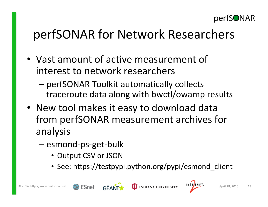

#### perfSONAR for Network Researchers

- Vast amount of active measurement of interest to network researchers
	- perfSONAR Toolkit automatically collects traceroute data along with bwctl/owamp results
- New tool makes it easy to download data from perfSONAR measurement archives for analysis
	- esmond-ps-get-bulk
		- Output CSV or JSON
		- See: https://testpypi.python.org/pypi/esmond\_client



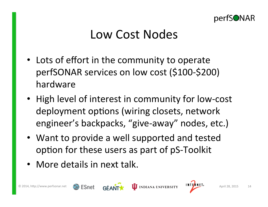

#### Low Cost Nodes

- Lots of effort in the community to operate perfSONAR services on low cost (\$100-\$200) hardware
- High level of interest in community for low-cost deployment options (wiring closets, network engineer's backpacks, "give-away" nodes, etc.)
- Want to provide a well supported and tested option for these users as part of pS-Toolkit
- More details in next talk.



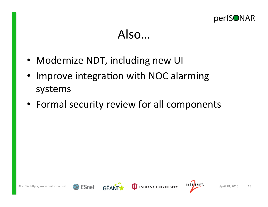

#### Also…

- Modernize NDT, including new UI
- Improve integration with NOC alarming systems
- Formal security review for all components